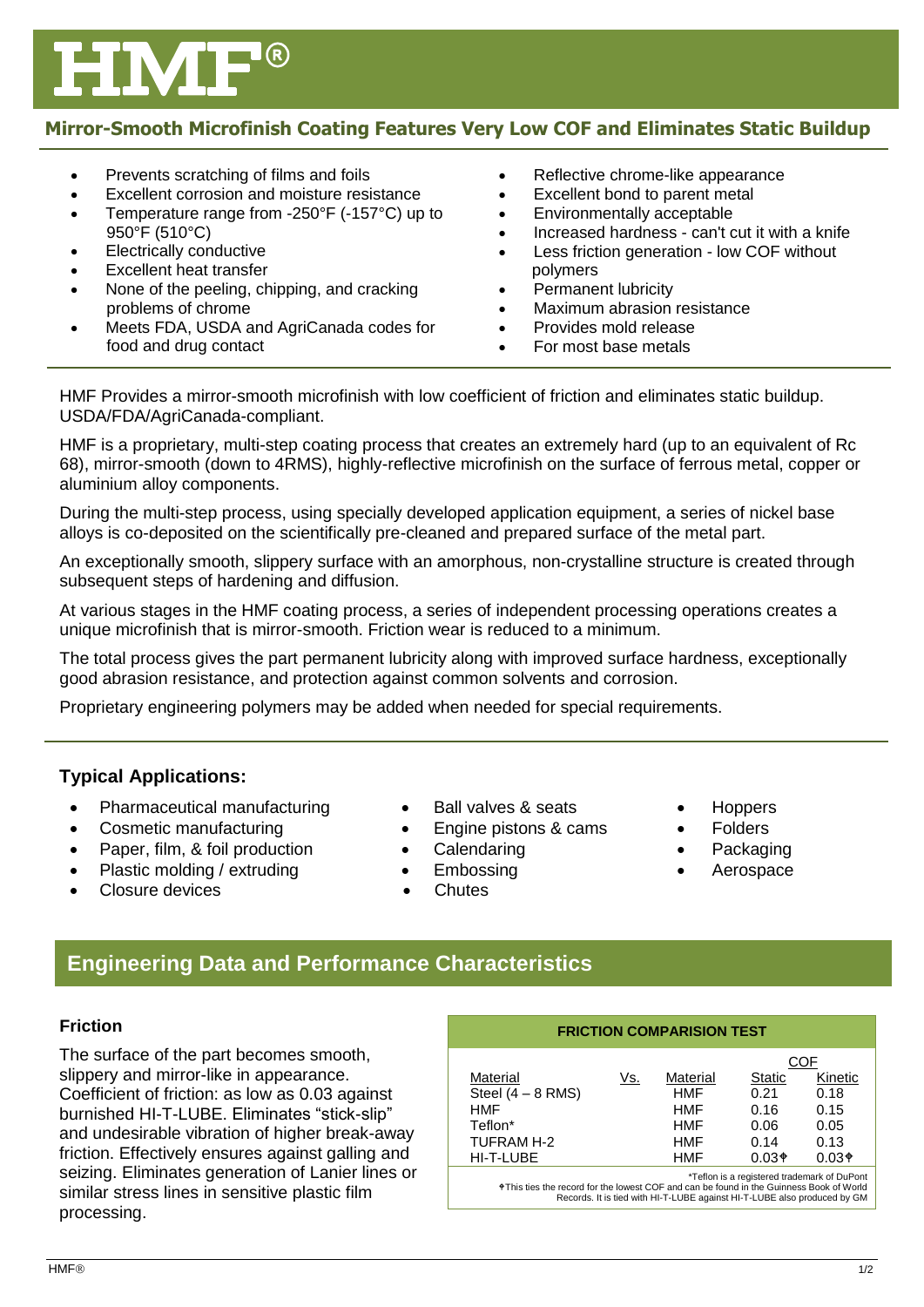# **Mirror-Smooth Microfinish Coating Features Very Low COF and Eliminates Static Buildup**

• Prevents scratching of films and foils Excellent corrosion and moisture resistance Temperature range from -250°F (-157°C) up to 950°F (510°C) Electrically conductive Excellent heat transfer None of the peeling, chipping, and cracking problems of chrome Meets FDA, USDA and AgriCanada codes for food and drug contact • Reflective chrome-like appearance Excellent bond to parent metal Environmentally acceptable Increased hardness - can't cut it with a knife Less friction generation - low COF without polymers Permanent lubricity Maximum abrasion resistance Provides mold release For most base metals

HMF Provides a mirror-smooth microfinish with low coefficient of friction and eliminates static buildup. USDA/FDA/AgriCanada-compliant.

HMF is a proprietary, multi-step coating process that creates an extremely hard (up to an equivalent of Rc 68), mirror-smooth (down to 4RMS), highly-reflective microfinish on the surface of ferrous metal, copper or aluminium alloy components.

During the multi-step process, using specially developed application equipment, a series of nickel base alloys is co-deposited on the scientifically pre-cleaned and prepared surface of the metal part.

An exceptionally smooth, slippery surface with an amorphous, non-crystalline structure is created through subsequent steps of hardening and diffusion.

At various stages in the HMF coating process, a series of independent processing operations creates a unique microfinish that is mirror-smooth. Friction wear is reduced to a minimum.

The total process gives the part permanent lubricity along with improved surface hardness, exceptionally good abrasion resistance, and protection against common solvents and corrosion.

Proprietary engineering polymers may be added when needed for special requirements.

# **Typical Applications:**

- Pharmaceutical manufacturing
- Cosmetic manufacturing
- Paper, film, & foil production
- Plastic molding / extruding
- Closure devices
- Ball valves & seats
- Engine pistons & cams
- **Calendaring**
- Embossing
- **Chutes**
- **Hoppers**
- Folders
- Packaging
- Aerospace
- 

**Engineering Data and Performance Characteristics**

#### **Friction**

The surface of the part becomes smooth, slippery and mirror-like in appearance. Coefficient of friction: as low as 0.03 against burnished HI-T-LUBE. Eliminates "stick-slip" and undesirable vibration of higher break-away friction. Effectively ensures against galling and seizing. Eliminates generation of Lanier lines or similar stress lines in sensitive plastic film processing.

| <b>FRICTION COMPARISION TEST</b>            |     |            |               |         |
|---------------------------------------------|-----|------------|---------------|---------|
|                                             |     |            | COF           |         |
| Material                                    | Vs. | Material   | <b>Static</b> | Kinetic |
| Steel $(4 - 8$ RMS)                         |     | <b>HMF</b> | 0.21          | 0.18    |
| <b>HMF</b>                                  |     | <b>HMF</b> | 0.16          | 0.15    |
| Teflon*                                     |     | HMF        | 0.06          | 0.05    |
| TUFRAM H-2                                  |     | HMF        | 0.14          | 0.13    |
| HI-T-LUBE                                   |     | <b>HMF</b> | $0.03*$       | $0.03*$ |
| *Teflon is a registered trademark of DuPont |     |            |               |         |

This ties the record for the lowest COF and can be found in the Guinness Book of World Records. It is tied with HI-T-LUBE against HI-T-LUBE also produced by GM